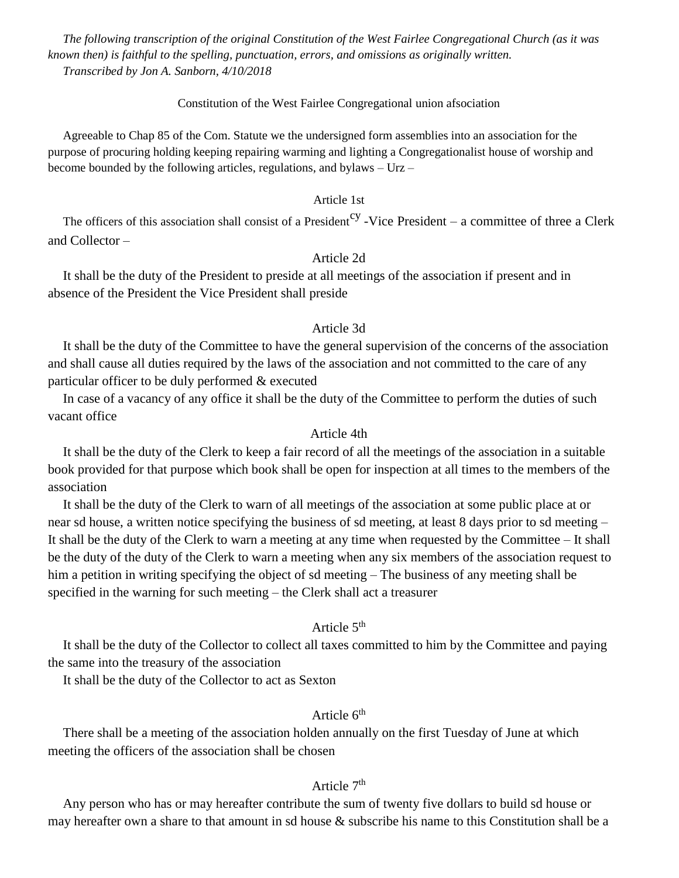*The following transcription of the original Constitution of the West Fairlee Congregational Church (as it was known then) is faithful to the spelling, punctuation, errors, and omissions as originally written. Transcribed by Jon A. Sanborn, 4/10/2018* 

#### Constitution of the West Fairlee Congregational union afsociation

Agreeable to Chap 85 of the Com. Statute we the undersigned form assemblies into an association for the purpose of procuring holding keeping repairing warming and lighting a Congregationalist house of worship and become bounded by the following articles, regulations, and bylaws – Urz –

### Article 1st

The officers of this association shall consist of a President<sup>cy</sup> -Vice President – a committee of three a Clerk and Collector –

### Article 2d

It shall be the duty of the President to preside at all meetings of the association if present and in absence of the President the Vice President shall preside

### Article 3d

It shall be the duty of the Committee to have the general supervision of the concerns of the association and shall cause all duties required by the laws of the association and not committed to the care of any particular officer to be duly performed & executed

In case of a vacancy of any office it shall be the duty of the Committee to perform the duties of such vacant office

#### Article 4th

It shall be the duty of the Clerk to keep a fair record of all the meetings of the association in a suitable book provided for that purpose which book shall be open for inspection at all times to the members of the association

It shall be the duty of the Clerk to warn of all meetings of the association at some public place at or near sd house, a written notice specifying the business of sd meeting, at least 8 days prior to sd meeting – It shall be the duty of the Clerk to warn a meeting at any time when requested by the Committee – It shall be the duty of the duty of the Clerk to warn a meeting when any six members of the association request to him a petition in writing specifying the object of sd meeting – The business of any meeting shall be specified in the warning for such meeting – the Clerk shall act a treasurer

#### Article  $5<sup>th</sup>$

It shall be the duty of the Collector to collect all taxes committed to him by the Committee and paying the same into the treasury of the association

It shall be the duty of the Collector to act as Sexton

# Article 6<sup>th</sup>

There shall be a meeting of the association holden annually on the first Tuesday of June at which meeting the officers of the association shall be chosen

## Article 7<sup>th</sup>

Any person who has or may hereafter contribute the sum of twenty five dollars to build sd house or may hereafter own a share to that amount in sd house & subscribe his name to this Constitution shall be a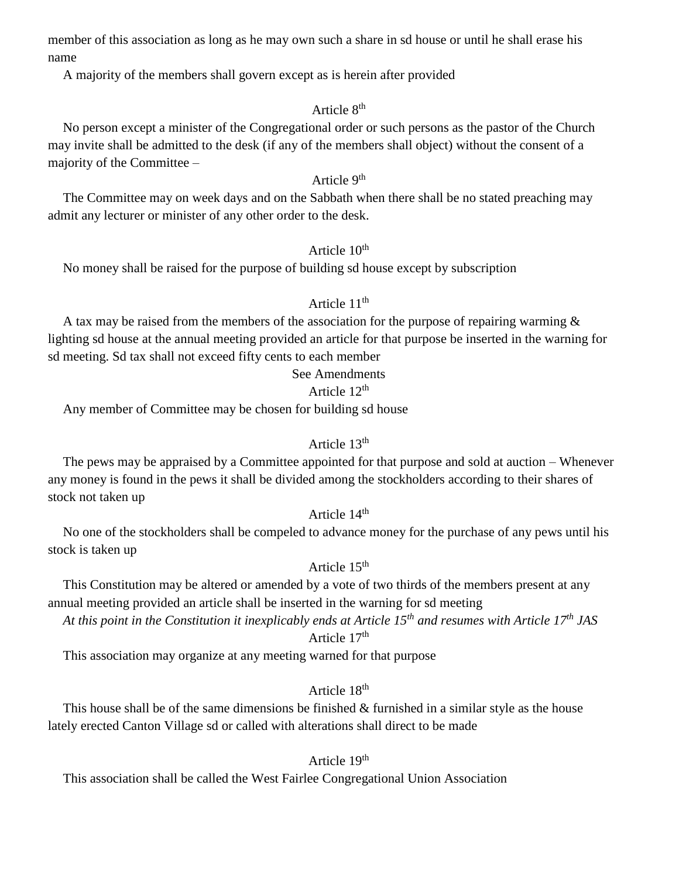member of this association as long as he may own such a share in sd house or until he shall erase his name

A majority of the members shall govern except as is herein after provided

# Article 8<sup>th</sup>

No person except a minister of the Congregational order or such persons as the pastor of the Church may invite shall be admitted to the desk (if any of the members shall object) without the consent of a majority of the Committee –

## Article 9<sup>th</sup>

The Committee may on week days and on the Sabbath when there shall be no stated preaching may admit any lecturer or minister of any other order to the desk.

## Article 10<sup>th</sup>

No money shall be raised for the purpose of building sd house except by subscription

### Article  $11<sup>th</sup>$

A tax may be raised from the members of the association for the purpose of repairing warming & lighting sd house at the annual meeting provided an article for that purpose be inserted in the warning for sd meeting. Sd tax shall not exceed fifty cents to each member

#### See Amendments

### Article 12th

Any member of Committee may be chosen for building sd house

#### Article 13<sup>th</sup>

The pews may be appraised by a Committee appointed for that purpose and sold at auction – Whenever any money is found in the pews it shall be divided among the stockholders according to their shares of stock not taken up

# Article 14<sup>th</sup>

No one of the stockholders shall be compeled to advance money for the purchase of any pews until his stock is taken up

# Article 15<sup>th</sup>

This Constitution may be altered or amended by a vote of two thirds of the members present at any annual meeting provided an article shall be inserted in the warning for sd meeting

*At this point in the Constitution it inexplicably ends at Article 15th and resumes with Article 17th JAS* Article 17<sup>th</sup>

This association may organize at any meeting warned for that purpose

## Article 18<sup>th</sup>

This house shall be of the same dimensions be finished & furnished in a similar style as the house lately erected Canton Village sd or called with alterations shall direct to be made

### Article 19<sup>th</sup>

This association shall be called the West Fairlee Congregational Union Association